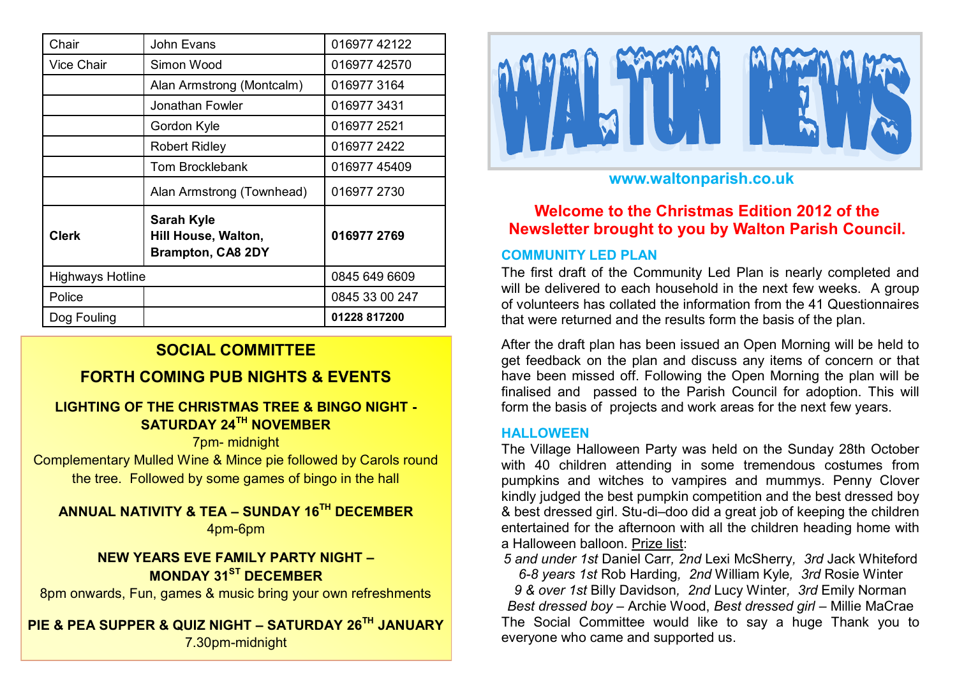| Chair                   | John Evans                                                           | 016977 42122   |
|-------------------------|----------------------------------------------------------------------|----------------|
| Vice Chair              | Simon Wood                                                           | 016977 42570   |
|                         | Alan Armstrong (Montcalm)                                            | 016977 3164    |
|                         | Jonathan Fowler                                                      | 0169773431     |
|                         | Gordon Kyle                                                          | 016977 2521    |
|                         | <b>Robert Ridley</b>                                                 | 016977 2422    |
|                         | <b>Tom Brocklebank</b>                                               | 016977 45409   |
|                         | Alan Armstrong (Townhead)                                            | 016977 2730    |
| <b>Clerk</b>            | <b>Sarah Kyle</b><br>Hill House, Walton,<br><b>Brampton, CA8 2DY</b> | 016977 2769    |
| <b>Highways Hotline</b> |                                                                      | 0845 649 6609  |
| Police                  |                                                                      | 0845 33 00 247 |
| Dog Fouling             |                                                                      | 01228 817200   |

# **SOCIAL COMMITTEE**

# **FORTH COMING PUB NIGHTS & EVENTS**

# **LIGHTING OF THE CHRISTMAS TREE & BINGO NIGHT - SATURDAY 24TH NOVEMBER**

7pm- midnight

Complementary Mulled Wine & Mince pie followed by Carols round the tree. Followed by some games of bingo in the hall

**ANNUAL NATIVITY & TEA – SUNDAY 16TH DECEMBER**  4pm-6pm

# **NEW YEARS EVE FAMILY PARTY NIGHT – MONDAY 31ST DECEMBER**

8pm onwards, Fun, games & music bring your own refreshments

**PIE & PEA SUPPER & QUIZ NIGHT – SATURDAY 26TH JANUARY** 7.30pm-midnight



# **www.waltonparish.co.uk**

# **Welcome to the Christmas Edition 2012 of the Newsletter brought to you by Walton Parish Council.**

# **COMMUNITY LED PLAN**

The first draft of the Community Led Plan is nearly completed and will be delivered to each household in the next few weeks. A group of volunteers has collated the information from the 41 Questionnaires that were returned and the results form the basis of the plan.

After the draft plan has been issued an Open Morning will be held to get feedback on the plan and discuss any items of concern or that have been missed off. Following the Open Morning the plan will be finalised and passed to the Parish Council for adoption. This will form the basis of projects and work areas for the next few years.

## **HALLOWEEN**

The Village Halloween Party was held on the Sunday 28th October with 40 children attending in some tremendous costumes from pumpkins and witches to vampires and mummys. Penny Clover kindly judged the best pumpkin competition and the best dressed boy & best dressed girl. Stu-di–doo did a great job of keeping the children entertained for the afternoon with all the children heading home with a Halloween balloon. Prize list:

*5 and under 1st* Daniel Carr*, 2nd* Lexi McSherry*, 3rd* Jack Whiteford *6-8 years 1st* Rob Harding*, 2nd* William Kyle*, 3rd* Rosie Winter

*9 & over 1st* Billy Davidson*, 2nd* Lucy Winter*, 3rd* Emily Norman *Best dressed boy – Archie Wood, Best dressed girl – Millie MaCrae* The Social Committee would like to say a huge Thank you to everyone who came and supported us.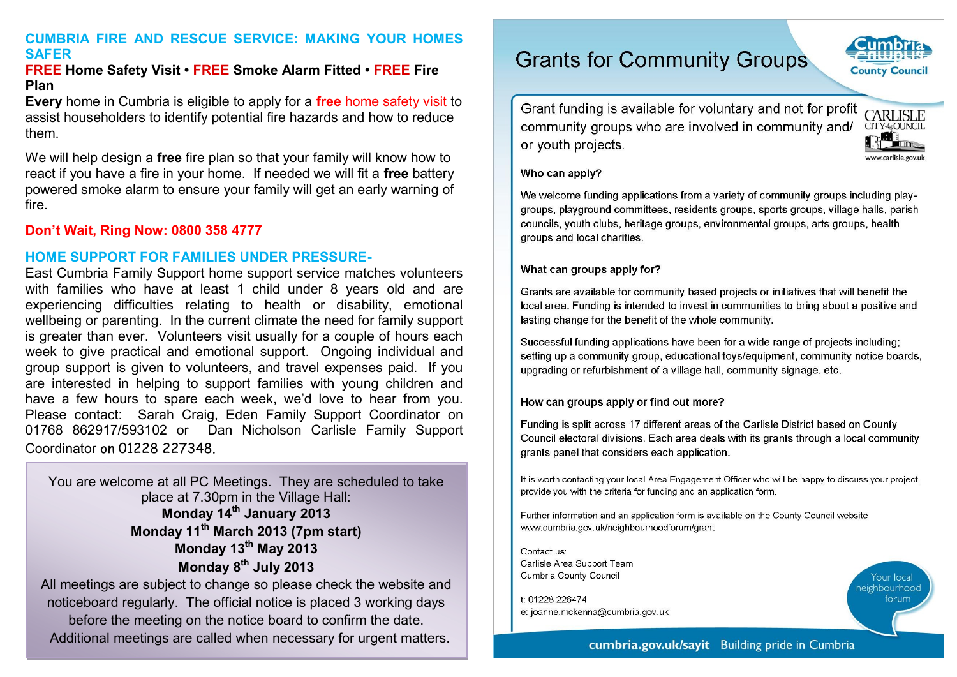## **CUMBRIA FIRE AND RESCUE SERVICE: MAKING YOUR HOMES SAFER**

#### **FREE Home Safety Visit • FREE Smoke Alarm Fitted • FREE Fire Plan**

**Every** home in Cumbria is eligible to apply for a **free** home safety visit to assist householders to identify potential fire hazards and how to reduce them.

We will help design a **free** fire plan so that your family will know how to react if you have a fire in your home. If needed we will fit a **free** battery powered smoke alarm to ensure your family will get an early warning of fire.

## **Don't Wait, Ring Now: 0800 358 4777**

## **HOME SUPPORT FOR FAMILIES UNDER PRESSURE-**

East Cumbria Family Support home support service matches volunteers with families who have at least 1 child under 8 years old and are experiencing difficulties relating to health or disability, emotional wellbeing or parenting. In the current climate the need for family support is greater than ever. Volunteers visit usually for a couple of hours each week to give practical and emotional support. Ongoing individual and group support is given to volunteers, and travel expenses paid. If you are interested in helping to support families with young children and have a few hours to spare each week, we'd love to hear from you. Please contact: Sarah Craig, Eden Family Support Coordinator on 01768 862917/593102 or Dan Nicholson Carlisle Family Support Coordinator on 01228 227348.

You are welcome at all PC Meetings. They are scheduled to take place at 7.30pm in the Village Hall: **Monday 14th January 2013 Monday 11th March 2013 (7pm start) Monday 13th May 2013 Monday 8th July 2013**

All meetings are subject to change so please check the website and noticeboard regularly. The official notice is placed 3 working days before the meeting on the notice board to confirm the date. Additional meetings are called when necessary for urgent matters.

# **Grants for Community Groups**

Grant funding is available for voluntary and not for profit community groups who are involved in community and/ or youth projects.



**County Council** 

#### Who can apply?

We welcome funding applications from a variety of community groups including playgroups, playground committees, residents groups, sports groups, village halls, parish councils, youth clubs, heritage groups, environmental groups, arts groups, health groups and local charities.

#### What can groups apply for?

Grants are available for community based projects or initiatives that will benefit the local area. Funding is intended to invest in communities to bring about a positive and lasting change for the benefit of the whole community.

Successful funding applications have been for a wide range of projects including: setting up a community group, educational toys/equipment, community notice boards, upgrading or refurbishment of a village hall, community signage, etc.

#### How can groups apply or find out more?

Funding is split across 17 different areas of the Carlisle District based on County Council electoral divisions. Each area deals with its grants through a local community grants panel that considers each application.

It is worth contacting your local Area Engagement Officer who will be happy to discuss your project. provide you with the criteria for funding and an application form.

Further information and an application form is available on the County Council website www.cumbria.gov.uk/neighbourhoodforum/grant

Contact us: Carlisle Area Support Team Cumbria County Council

t: 01228 226474 e: joanne.mckenna@cumbria.gov.uk **eighbourhoo** forum

#### cumbria.gov.uk/sayit Building pride in Cumbria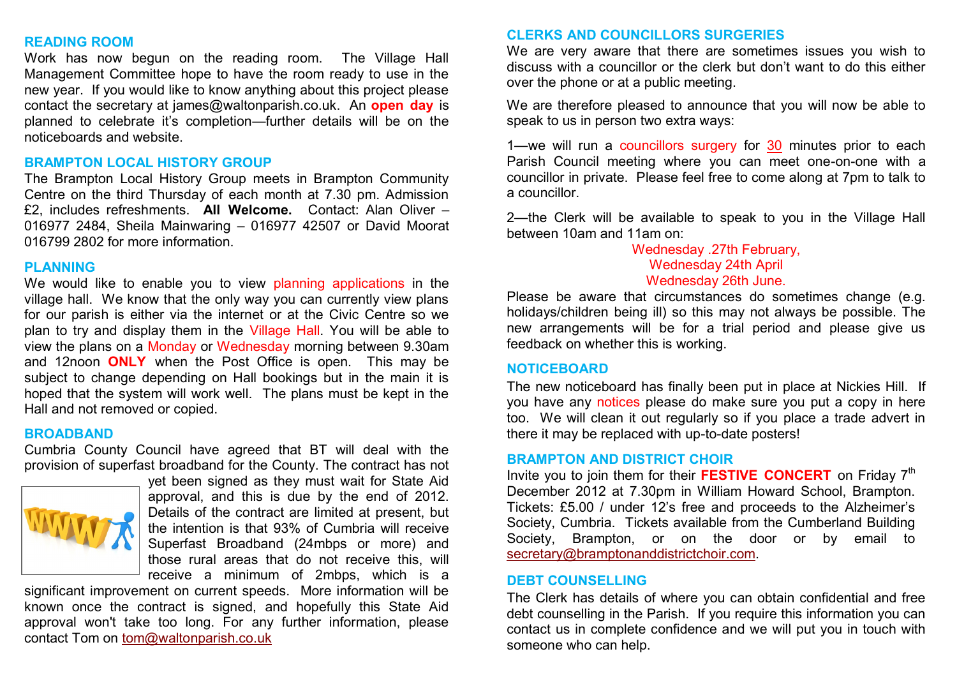#### **READING ROOM**

Work has now begun on the reading room. The Village Hall Management Committee hope to have the room ready to use in the new year. If you would like to know anything about this project please contact the secretary at james@waltonparish.co.uk. An **open day** is planned to celebrate it's completion—further details will be on the noticeboards and website.

#### **BRAMPTON LOCAL HISTORY GROUP**

The Brampton Local History Group meets in Brampton Community Centre on the third Thursday of each month at 7.30 pm. Admission £2, includes refreshments. **All Welcome.** Contact: Alan Oliver – 016977 2484, Sheila Mainwaring – 016977 42507 or David Moorat 016799 2802 for more information.

#### **PLANNING**

We would like to enable you to view planning applications in the village hall. We know that the only way you can currently view plans for our parish is either via the internet or at the Civic Centre so we plan to try and display them in the Village Hall. You will be able to view the plans on a Monday or Wednesday morning between 9.30am and 12noon **ONLY** when the Post Office is open. This may be subject to change depending on Hall bookings but in the main it is hoped that the system will work well. The plans must be kept in the Hall and not removed or copied.

#### **BROADBAND**

Cumbria County Council have agreed that BT will deal with the provision of superfast broadband for the County. The contract has not



yet been signed as they must wait for State Aid approval, and this is due by the end of 2012. Details of the contract are limited at present, but the intention is that 93% of Cumbria will receive Superfast Broadband (24mbps or more) and those rural areas that do not receive this, will receive a minimum of 2mbps, which is a

significant improvement on current speeds. More information will be known once the contract is signed, and hopefully this State Aid approval won't take too long. For any further information, please contact Tom on [tom@waltonparish.co.uk](mailto:tom@waltonparish.co.uk)

#### **CLERKS AND COUNCILLORS SURGERIES**

We are very aware that there are sometimes issues you wish to discuss with a councillor or the clerk but don't want to do this either over the phone or at a public meeting.

We are therefore pleased to announce that you will now be able to speak to us in person two extra ways:

1—we will run a councillors surgery for 30 minutes prior to each Parish Council meeting where you can meet one-on-one with a councillor in private. Please feel free to come along at 7pm to talk to a councillor.

2—the Clerk will be available to speak to you in the Village Hall between 10am and 11am on:

## Wednesday .27th February, Wednesday 24th April Wednesday 26th June.

Please be aware that circumstances do sometimes change (e.g. holidays/children being ill) so this may not always be possible. The new arrangements will be for a trial period and please give us feedback on whether this is working.

#### **NOTICEBOARD**

The new noticeboard has finally been put in place at Nickies Hill. If you have any notices please do make sure you put a copy in here too. We will clean it out regularly so if you place a trade advert in there it may be replaced with up-to-date posters!

#### **BRAMPTON AND DISTRICT CHOIR**

Invite you to join them for their **FESTIVE CONCERT** on Friday 7<sup>th</sup> December 2012 at 7.30pm in William Howard School, Brampton. Tickets: £5.00 / under 12's free and proceeds to the Alzheimer's Society, Cumbria. Tickets available from the Cumberland Building Society, Brampton, or on the door or by email to [secretary@bramptonanddistrictchoir.com.](mailto:secretary@bramptonanddistrictchoir.com)

#### **DEBT COUNSELLING**

The Clerk has details of where you can obtain confidential and free debt counselling in the Parish. If you require this information you can contact us in complete confidence and we will put you in touch with someone who can help.